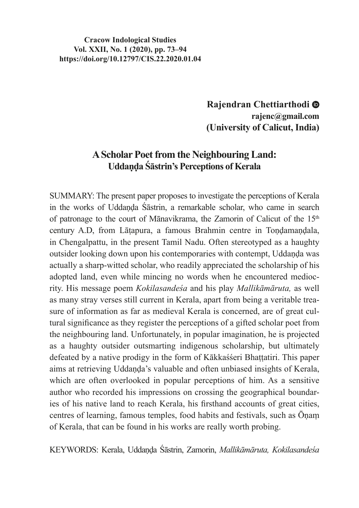#### **Cracow Indological Studies Vol. XXII, No. 1 (2020), pp. 73–94 https://doi.org/10.12797/CIS.22.2020.01.04**

**Rajendran Chettiarthodi rajenc@gmail.com (University of Calicut, India)**

# **A Scholar Poet from the Neighbouring Land: Uddaṇḍa Śāstrin's Perceptions of Kerala**

SUMMARY: The present paper proposes to investigate the perceptions of Kerala in the works of Uddaṇḍa Śāstrin, a remarkable scholar, who came in search of patronage to the court of Mānavikrama, the Zamorin of Calicut of the 15<sup>th</sup> century A.D, from Lāṭapura, a famous Brahmin centre in Toṇḍamaṇḍala, in Chengalpattu, in the present Tamil Nadu. Often stereotyped as a haughty outsider looking down upon his contemporaries with contempt, Uddaṇḍa was actually a sharp-witted scholar, who readily appreciated the scholarship of his adopted land, even while mincing no words when he encountered mediocrity. His message poem *Kokilasandeśa* and his play *Mallikāmāruta,* as well as many stray verses still current in Kerala, apart from being a veritable treasure of information as far as medieval Kerala is concerned, are of great cultural significance as they register the perceptions of a gifted scholar poet from the neighbouring land. Unfortunately, in popular imagination, he is projected as a haughty outsider outsmarting indigenous scholarship, but ultimately defeated by a native prodigy in the form of Kākkaśśeri Bhaṭṭatiri. This paper aims at retrieving Uddaṇḍa's valuable and often unbiased insights of Kerala, which are often overlooked in popular perceptions of him. As a sensitive author who recorded his impressions on crossing the geographical boundaries of his native land to reach Kerala, his firsthand accounts of great cities, centres of learning, famous temples, food habits and festivals, such as Ōṇaṃ of Kerala, that can be found in his works are really worth probing.

KEYWORDS: Kerala, Uddaṇḍa Śāstrin, Zamorin, *Mallikāmāruta, Kokilasandeśa*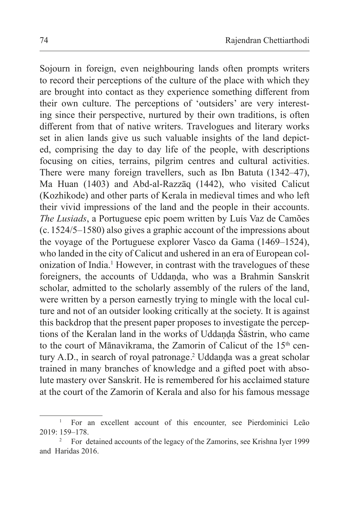Sojourn in foreign, even neighbouring lands often prompts writers to record their perceptions of the culture of the place with which they are brought into contact as they experience something different from their own culture. The perceptions of 'outsiders' are very interesting since their perspective, nurtured by their own traditions, is often different from that of native writers. Travelogues and literary works set in alien lands give us such valuable insights of the land depicted, comprising the day to day life of the people, with descriptions focusing on cities, terrains, pilgrim centres and cultural activities. There were many foreign travellers, such as Ibn Batuta (1342–47), Ma Huan (1403) and Abd-al-Razzāq (1442), who visited Calicut (Kozhikode) and other parts of Kerala in medieval times and who left their vivid impressions of the land and the people in their accounts. *The Lusiads*, a Portuguese epic poem written by Luís Vaz de Camões (c.1524/5–1580) also gives a graphic account of the impressions about the voyage of the Portuguese explorer Vasco da Gama (1469–1524), who landed in the city of Calicut and ushered in an era of European colonization of India.<sup>1</sup> However, in contrast with the travelogues of these foreigners, the accounts of Uddanda, who was a Brahmin Sanskrit scholar, admitted to the scholarly assembly of the rulers of the land, were written by a person earnestly trying to mingle with the local culture and not of an outsider looking critically at the society. It is against this backdrop that the present paper proposes to investigate the perceptions of the Keralan land in the works of Uddanda Śāstrin, who came to the court of Mānavikrama, the Zamorin of Calicut of the 15<sup>th</sup> century A.D., in search of royal patronage.<sup>2</sup> Uddanda was a great scholar trained in many branches of knowledge and a gifted poet with absolute mastery over Sanskrit. He is remembered for his acclaimed stature at the court of the Zamorin of Kerala and also for his famous message

<sup>&</sup>lt;sup>1</sup> For an excellent account of this encounter, see Pierdominici Leão 2019: 159–178.

<sup>2</sup> For detained accounts of the legacy of the Zamorins, see Krishna Iyer 1999 and Haridas 2016.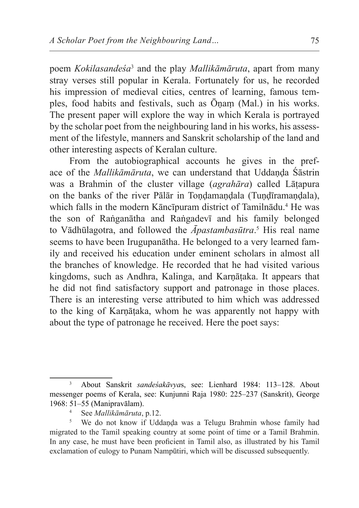poem *Kokilasandeśa*<sup>3</sup> and the play *Mallikāmāruta*, apart from many stray verses still popular in Kerala. Fortunately for us, he recorded his impression of medieval cities, centres of learning, famous temples, food habits and festivals, such as Ōṇaṃ (Mal.) in his works. The present paper will explore the way in which Kerala is portrayed by the scholar poet from the neighbouring land in his works, his assessment of the lifestyle, manners and Sanskrit scholarship of the land and other interesting aspects of Keralan culture.

From the autobiographical accounts he gives in the preface of the *Mallikāmāruta*, we can understand that Uddanda Śāstrin was a Brahmin of the cluster village (*agrahāra*) called Lāṭapura on the banks of the river Pālār in Tondamandala (Tundīramandala), which falls in the modern Kāncīpuram district of Tamilnādu.<sup>4</sup> He was the son of Raṅganātha and Raṅgadevī and his family belonged to Vādhūlagotra, and followed the *Āpastambasūtra*. 5 His real name seems to have been Irugupanātha. He belonged to a very learned family and received his education under eminent scholars in almost all the branches of knowledge. He recorded that he had visited various kingdoms, such as Andhra, Kalinga, and Karṇāṭaka. It appears that he did not find satisfactory support and patronage in those places. There is an interesting verse attributed to him which was addressed to the king of Karṇāṭaka, whom he was apparently not happy with about the type of patronage he received. Here the poet says:

<sup>3</sup> About Sanskrit *sandeśakāvya*s, see: Lienhard 1984: 113–128. About messenger poems of Kerala, see: Kunjunni Raja 1980: 225–237 (Sanskrit), George 1968: 51–55 (Manipravālam).

<sup>4</sup> See *Mallikāmāruta*, p.12.

<sup>&</sup>lt;sup>5</sup> We do not know if Uddaṇḍa was a Telugu Brahmin whose family had migrated to the Tamil speaking country at some point of time or a Tamil Brahmin. In any case, he must have been proficient in Tamil also, as illustrated by his Tamil exclamation of eulogy to Punam Nampūtiri, which will be discussed subsequently.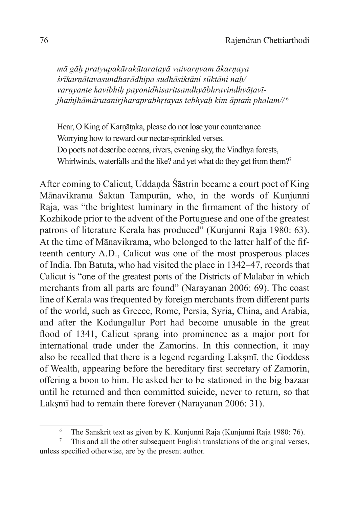*mā gāḥ pratyupakārakātaratayā vaivarṇyam ākarṇaya śrīkarṇāṭavasundharādhipa sudhāsiktāni sūktāni naḥ/ varṇyante kavibhiḥ payonidhisaritsandhyābhravindhyāṭavījhaṁjhāmārutanirjharaprabhṛtayas tebhyaḥ kim āptaṁ phalam//* <sup>6</sup>

Hear, O King of Karṇāṭaka, please do not lose your countenance Worrying how to reward our nectar-sprinkled verses. Do poets not describe oceans, rivers, evening sky, the Vindhya forests, Whirlwinds, waterfalls and the like? and yet what do they get from them?<sup>7</sup>

After coming to Calicut, Uddaṇḍa Śāstrin became a court poet of King Mānavikrama Śaktan Tampurān, who, in the words of Kunjunni Raja, was "the brightest luminary in the firmament of the history of Kozhikode prior to the advent of the Portuguese and one of the greatest patrons of literature Kerala has produced" (Kunjunni Raja 1980: 63). At the time of Mānavikrama, who belonged to the latter half of the fifteenth century A.D., Calicut was one of the most prosperous places of India. Ibn Batuta, who had visited the place in 1342–47, records that Calicut is "one of the greatest ports of the Districts of Malabar in which merchants from all parts are found" (Narayanan 2006: 69). The coast line of Kerala was frequented by foreign merchants from different parts of the world, such as Greece, Rome, Persia, Syria, China, and Arabia, and after the Kodungallur Port had become unusable in the great flood of 1341, Calicut sprang into prominence as a major port for international trade under the Zamorins. In this connection, it may also be recalled that there is a legend regarding Lakṣmī, the Goddess of Wealth, appearing before the hereditary first secretary of Zamorin, offering a boon to him. He asked her to be stationed in the big bazaar until he returned and then committed suicide, never to return, so that Laksmī had to remain there forever (Narayanan 2006: 31).

<sup>6</sup> The Sanskrit text as given by K. Kunjunni Raja (Kunjunni Raja 1980: 76).

<sup>7</sup> This and all the other subsequent English translations of the original verses, unless specified otherwise, are by the present author.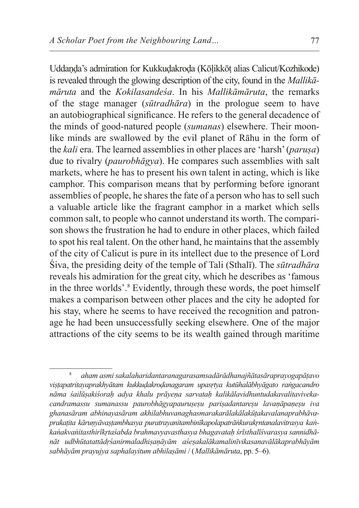Uddaṇḍa's admiration for Kukkuḍakroḍa (Kōḷikkōṭ alias Calicut/Kozhikode) is revealed through the glowing description of the city, found in the *Mallikamāruta* and the *Kokilasandeśa*. In his *Mallikāmāruta*, the remarks of the stage manager (*sūtradhāra*) in the prologue seem to have an autobiographical significance. He refers to the general decadence of the minds of good-natured people (*sumanas*) elsewhere. Their moonlike minds are swallowed by the evil planet of Rāhu in the form of the *kali* era. The learned assemblies in other places are 'harsh' (*paruṣa*) due to rivalry (*paurobhāgya*). He compares such assemblies with salt markets, where he has to present his own talent in acting, which is like camphor. This comparison means that by performing before ignorant assemblies of people, he shares the fate of a person who has to sell such a valuable article like the fragrant camphor in a market which sells common salt, to people who cannot understand its worth. The comparison shows the frustration he had to endure in other places, which failed to spot his real talent. On the other hand, he maintains that the assembly of the city of Calicut is pure in its intellect due to the presence of Lord Śiva, the presiding deity of the temple of Tali (Sthalī). The *sūtradhāra* reveals his admiration for the great city, which he describes as 'famous in the three worlds'.<sup>8</sup> Evidently, through these words, the poet himself makes a comparison between other places and the city he adopted for his stay, where he seems to have received the recognition and patronage he had been unsuccessfully seeking elsewhere. One of the major attractions of the city seems to be its wealth gained through maritime

<sup>8</sup> *aham asmi sakalaharidantaranagarasamsadārādhanajñātasāraprayogapāṭavo viṣṭapatritayaprakhyātam kukkuḍakroḍanagaram upasṛtya kutūhalābhyāgato raṅgacandro nāma śailūṣakiśoraḥ adya khalu prāyeṇa sarvataḥ kalikālavidhuntudakavalitavivekacandramassu sumanassu paurobhāgyapauruṣeṣu pariṣadantareṣu lavaṇāpaṇeṣu iva ghanasāram abhinayasāram akhilabhuvanaghasmarakarālakālakūṭakavalanaprabhāvaprakaṭita kāruṇyāvaṣṭambhasya puratrayanitambinīkapolapatrāṅkurakṛntanalavitrasya kaṅkaṅakvaṅitasthirīkṛtaśabda brahmavyavasthasya bhagavataḥ śrīsthalīśvarasya sannidhānāt udbhūtatattādṛśanirmaladhiṣaṇāyām aśeṣakalākamalinīvikasanavālākaprabhāyām sabhāyām prayujya saphalayitum abhilaṣāmi* / (*Mallikāmāruta*, pp. 5–6).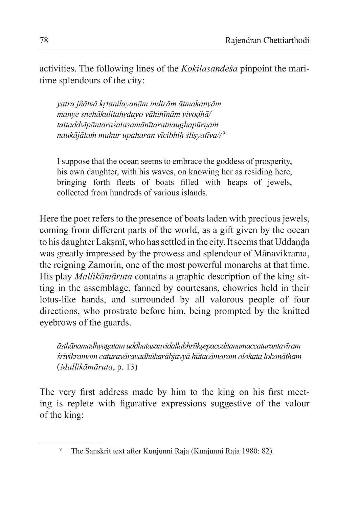activities. The following lines of the *Kokilasandeśa* pinpoint the maritime splendours of the city:

*yatra jñātvā kṛtanilayanām indirām ātmakanyām manye snehākulitahṛdayo vāhinīnām vivoḍhā/ tattaddvīpāntaraśatasamānītaratnaughapūrṇaṁ naukājālaṁ muhur upaharan vīcibhiḥ śliṣyatīva//* <sup>9</sup>

I suppose that the ocean seems to embrace the goddess of prosperity, his own daughter, with his waves, on knowing her as residing here, bringing forth fleets of boats filled with heaps of jewels, collected from hundreds of various islands.

Here the poet refers to the presence of boats laden with precious jewels, coming from different parts of the world, as a gift given by the ocean to his daughter Lakṣmī, who has settled in the city. Itseems that Uddaṇḍa was greatly impressed by the prowess and splendour of Mānavikrama, the reigning Zamorin, one of the most powerful monarchs at that time. His play *Mallikāmāruta* contains a graphic description of the king sitting in the assemblage, fanned by courtesans, chowries held in their lotus-like hands, and surrounded by all valorous people of four directions, who prostrate before him, being prompted by the knitted eyebrows of the guards.

*āsthānamadhyagatam uddhatasauvidallabhrūkṣepacoditanamaccaturantavīram śrīvikramam caturavāravadhūkarābjavyā hūtacāmaram alokata lokanātham* (*Mallikāmāruta*, p. 13)

The very first address made by him to the king on his first meeting is replete with figurative expressions suggestive of the valour of the king:

<sup>9</sup> The Sanskrit text after Kunjunni Raja (Kunjunni Raja 1980: 82).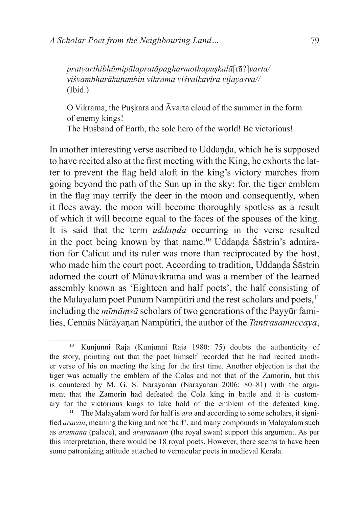*pratyarthibhūmipālapratāpagharmothapuṣkalā*[rā?]*varta/ viśvambharākuṭumbin vikrama viśvaikavīra vijayasva//* (Ibid.)

O Vikrama, the Puṣkara and Āvarta cloud of the summer in the form of enemy kings!

The Husband of Earth, the sole hero of the world! Be victorious!

In another interesting verse ascribed to Uddanda, which he is supposed to have recited also at the first meeting with the King, he exhorts the latter to prevent the flag held aloft in the king's victory marches from going beyond the path of the Sun up in the sky; for, the tiger emblem in the flag may terrify the deer in the moon and consequently, when it flees away, the moon will become thoroughly spotless as a result of which it will become equal to the faces of the spouses of the king. It is said that the term *uddaṇḍa* occurring in the verse resulted in the poet being known by that name.10 Uddaṇḍa Śāstrin's admiration for Calicut and its ruler was more than reciprocated by the host, who made him the court poet. According to tradition, Uddanda Śāstrin adorned the court of Mānavikrama and was a member of the learned assembly known as 'Eighteen and half poets', the half consisting of the Malayalam poet Punam Nampūtiri and the rest scholars and poets,<sup>11</sup> including the *mīmāṃsā* scholars of two generations of the Payyūr families, Cennās Nārāyaṇan Nampūtiri, the author of the *Tantrasamuccaya*,

<sup>10</sup> Kunjunni Raja (Kunjunni Raja 1980: 75) doubts the authenticity of the story, pointing out that the poet himself recorded that he had recited another verse of his on meeting the king for the first time. Another objection is that the tiger was actually the emblem of the Colas and not that of the Zamorin, but this is countered by M. G. S. Narayanan (Narayanan 2006: 80–81) with the argument that the Zamorin had defeated the Cola king in battle and it is customary for the victorious kings to take hold of the emblem of the defeated king. 11 The Malayalam word for half is *ara* and according to some scholars, it signi-

fied *aracan*, meaning the king and not 'half', and many compounds in Malayalam such as *aramana* (palace), and *arayannam* (the royal swan) support this argument. As per this interpretation, there would be 18 royal poets. However, there seems to have been some patronizing attitude attached to vernacular poets in medieval Kerala.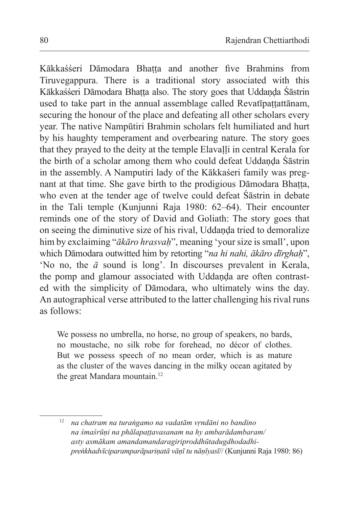Kākkaśśeri Dāmodara Bhaṭṭa and another five Brahmins from Tiruvegappura. There is a traditional story associated with this Kākkaśśeri Dāmodara Bhatta also. The story goes that Uddanda Śāstrin used to take part in the annual assemblage called Revatīpattattānam, securing the honour of the place and defeating all other scholars every year. The native Nampūtiri Brahmin scholars felt humiliated and hurt by his haughty temperament and overbearing nature. The story goes that they prayed to the deity at the temple Elavaḷḷi in central Kerala for the birth of a scholar among them who could defeat Uddanda Śāstrin in the assembly. A Namputiri lady of the Kākkaśeri family was pregnant at that time. She gave birth to the prodigious Dāmodara Bhaṭṭa, who even at the tender age of twelve could defeat Śāstrin in debate in the Tali temple (Kunjunni Raja 1980: 62–64). Their encounter reminds one of the story of David and Goliath: The story goes that on seeing the diminutive size of his rival, Uddaṇḍa tried to demoralize him by exclaiming "*ākāro hrasvaḥ*", meaning 'your size is small', upon which Dāmodara outwitted him by retorting "*na hi nahi, ākāro dīrghaḥ*", 'No no, the *ā* sound is long'. In discourses prevalent in Kerala, the pomp and glamour associated with Uddanda are often contrasted with the simplicity of Dāmodara, who ultimately wins the day. An autographical verse attributed to the latter challenging his rival runs as follows:

We possess no umbrella, no horse, no group of speakers, no bards, no moustache, no silk robe for forehead, no décor of clothes. But we possess speech of no mean order, which is as mature as the cluster of the waves dancing in the milky ocean agitated by the great Mandara mountain.<sup>12</sup>

<sup>12</sup> *na chatram na turaṅgamo na vadatām vṛndāni no bandino na śmaśrūṇi na phālapaṭṭavasanam na hy ambarādambaram/ asty asmākam amandamandaragiriproddhūtadugdhodadhipreṅkhadvīciparamparāpariṇatā vāṇī tu nāṇīyasī*// (Kunjunni Raja 1980: 86)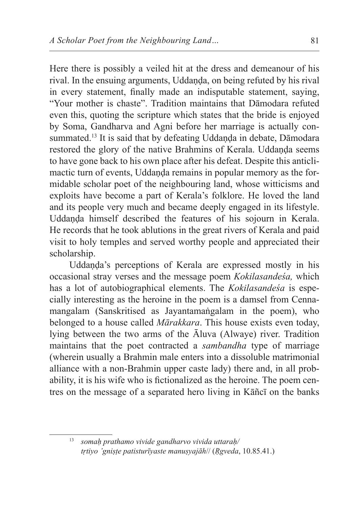Here there is possibly a veiled hit at the dress and demeanour of his rival. In the ensuing arguments, Uddanda, on being refuted by his rival in every statement, finally made an indisputable statement, saying, "Your mother is chaste". Tradition maintains that Dāmodara refuted even this, quoting the scripture which states that the bride is enjoyed by Soma, Gandharva and Agni before her marriage is actually consummated.<sup>13</sup> It is said that by defeating Uddaṇḍa in debate, Dāmodara restored the glory of the native Brahmins of Kerala. Uddanda seems to have gone back to his own place after his defeat. Despite this anticlimactic turn of events, Uddaṇḍa remains in popular memory as the formidable scholar poet of the neighbouring land, whose witticisms and exploits have become a part of Kerala's folklore. He loved the land and its people very much and became deeply engaged in its lifestyle. Uddaṇḍa himself described the features of his sojourn in Kerala. He records that he took ablutions in the great rivers of Kerala and paid visit to holy temples and served worthy people and appreciated their scholarship.

Uddanda's perceptions of Kerala are expressed mostly in his occasional stray verses and the message poem *Kokilasandeśa,* which has a lot of autobiographical elements. The *Kokilasandeśa* is especially interesting as the heroine in the poem is a damsel from Cennamangalam (Sanskritised as Jayantamaṅgalam in the poem), who belonged to a house called *Mārakkara*. This house exists even today, lying between the two arms of the Āluva (Alwaye) river. Tradition maintains that the poet contracted a *sambandha* type of marriage (wherein usually a Brahmin male enters into a dissoluble matrimonial alliance with a non-Brahmin upper caste lady) there and, in all probability, it is his wife who is fictionalized as the heroine. The poem centres on the message of a separated hero living in Kāñcī on the banks

<sup>13</sup> *somaḥ prathamo vivide gandharvo vivida uttaraḥ/ tṛtiyo 'gniṣṭe patisturīyaste manuṣyajāh*// (*Ṛgveda*, 10.85.41.)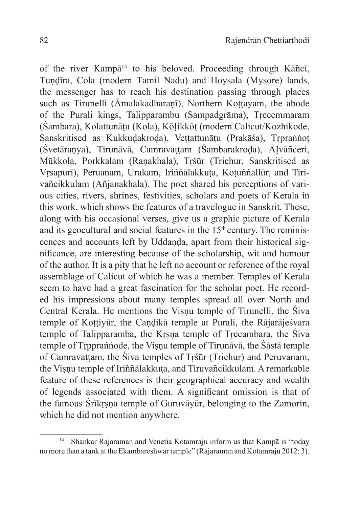of the river Kampā<sup>14</sup> to his beloved. Proceeding through Kāñcī, Tuṇḍīra, Cola (modern Tamil Nadu) and Hoysala (Mysore) lands, the messenger has to reach his destination passing through places such as Tirunelli (Āmalakadharanī), Northern Kottayam, the abode of the Purali kings, Talipparambu (Sampadgrāma), Tṛccemmaram (Śambara), Kolattunāṭu (Kola), KōỊikkōṭ (modern Calicut/Kozhikode, Sanskritised as Kukkudakroda), Vettattunātu (Prakāśa), Trpraṅṅot (Śvetāranya), Tirunāvā, Camravattam (Śambarakroda), Ālvāñceri, Mūkkola, Porkkalam (Raṇakhala), Tṛśūr (Trichur, Sanskritised as Vrsapurī), Peruanam, Ūrakam, Irinnālakkuta, Kotunnallūr, and Tirivañcikkulam (Añjanakhala). The poet shared his perceptions of various cities, rivers, shrines, festivities, scholars and poets of Kerala in this work, which shows the features of a travelogue in Sanskrit. These, along with his occasional verses, give us a graphic picture of Kerala and its geocultural and social features in the  $15<sup>th</sup>$  century. The reminiscences and accounts left by Uddaṇḍa, apart from their historical significance, are interesting because of the scholarship, wit and humour of the author. It is a pity that he left no account or reference of the royal assemblage of Calicut of which he was a member. Temples of Kerala seem to have had a great fascination for the scholar poet. He recorded his impressions about many temples spread all over North and Central Kerala. He mentions the Viṣṇu temple of Tirunelli, the Śiva temple of Koṭṭiyūr, the Caṇḍikā temple at Purali, the Rājarājeśvara temple of Talipparamba, the Kṛṣṇa temple of Tṛccambara, the Śiva temple of Trpprannode, the Visnu temple of Tirunāvā, the Śāstā temple of Camravaṭṭam, the Śiva temples of Tṛśūr (Trichur) and Peruvanam, the Visnu temple of Iriññālakkuta, and Tiruvañcikkulam. A remarkable feature of these references is their geographical accuracy and wealth of legends associated with them. A significant omission is that of the famous Śrīkṛṣṇa temple of Guruvāyūr, belonging to the Zamorin, which he did not mention anywhere.

<sup>14</sup> Shankar Rajaraman and Venetia Kotamraju inform us that Kampā is "today no more than a tank at the Ekambareshwar temple" (Rajaraman and Kotamraju 2012: 3).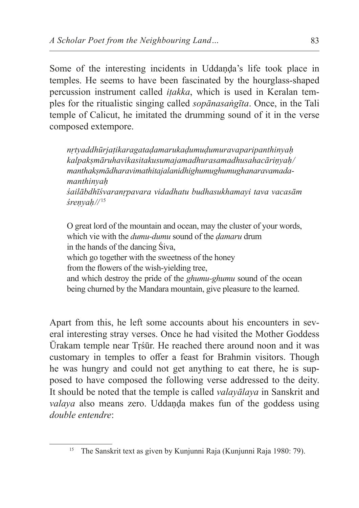Some of the interesting incidents in Uddaṇḍa's life took place in temples. He seems to have been fascinated by the hourglass-shaped percussion instrument called *iṭakka*, which is used in Keralan temples for the ritualistic singing called *sopānasaṅgīta*. Once, in the Tali temple of Calicut, he imitated the drumming sound of it in the verse composed extempore.

*nṛtyaddhūrjaṭikaragataḍamarukaḍumuḍumuravaparipanthinyaḥ kalpakṣmāruhavikasitakusumajamadhurasamadhusahacāriṇyaḥ/ manthakṣmādharavimathitajalanidhighumughumughanaravamadamanthinyaḥ śailābdhīśvaranṛpavara vidadhatu budhasukhamayi tava vacasām śreṇyaḥ//* <sup>15</sup>

O great lord of the mountain and ocean, may the cluster of your words, which vie with the *dumu-dumu* sound of the *ḍamaru* drum in the hands of the dancing Śiva, which go together with the sweetness of the honey from the flowers of the wish-yielding tree, and which destroy the pride of the *ghumu-ghumu* sound of the ocean being churned by the Mandara mountain, give pleasure to the learned.

Apart from this, he left some accounts about his encounters in several interesting stray verses. Once he had visited the Mother Goddess Ūrakam temple near Tṛśūr. He reached there around noon and it was customary in temples to offer a feast for Brahmin visitors. Though he was hungry and could not get anything to eat there, he is supposed to have composed the following verse addressed to the deity. It should be noted that the temple is called *valayālaya* in Sanskrit and *valaya* also means zero. Uddanda makes fun of the goddess using *double entendre*:

<sup>15</sup> The Sanskrit text as given by Kunjunni Raja (Kunjunni Raja 1980: 79).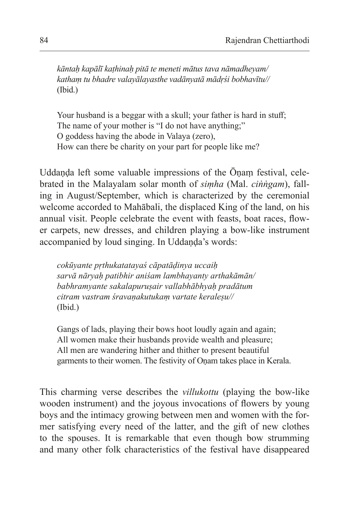*kāntaḥ kapālī kaṭhinaḥ pitā te meneti mātus tava nāmadheyam/ kathaṃ tu bhadre valayālayasthe vadānyatā mādṛśi bobhavītu//*  (Ibid.)

Your husband is a beggar with a skull; your father is hard in stuff; The name of your mother is "I do not have anything;" O goddess having the abode in Valaya (zero), How can there be charity on your part for people like me?

Uddaṇḍa left some valuable impressions of the Ōṇaṃ festival, celebrated in the Malayalam solar month of *siṃha* (Mal. *ciṅṅgam*), falling in August/September, which is characterized by the ceremonial welcome accorded to Mahābali, the displaced King of the land, on his annual visit. People celebrate the event with feasts, boat races, flower carpets, new dresses, and children playing a bow-like instrument accompanied by loud singing. In Uddaṇḍa's words:

*cokūyante pṛthukatatayaś cāpatāḍinya uccaiḥ sarvā nāryaḥ patibhir aniśam lambhayanty arthakāmān/ babhramyante sakalapuruṣair vallabhābhyaḥ pradātum citram vastram śravaṇakutukaṃ vartate keraleṣu//* (Ibid.)

Gangs of lads, playing their bows hoot loudly again and again; All women make their husbands provide wealth and pleasure; All men are wandering hither and thither to present beautiful garments to their women. The festivity of Oṇam takes place in Kerala.

This charming verse describes the *villukottu* (playing the bow-like wooden instrument) and the joyous invocations of flowers by young boys and the intimacy growing between men and women with the former satisfying every need of the latter, and the gift of new clothes to the spouses. It is remarkable that even though bow strumming and many other folk characteristics of the festival have disappeared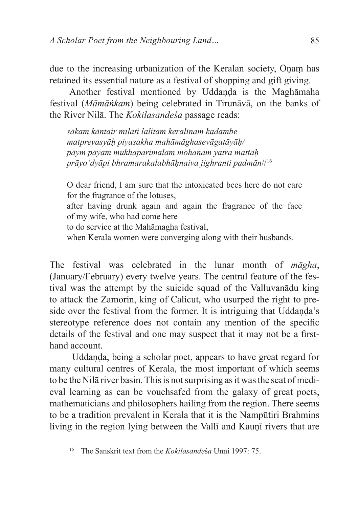due to the increasing urbanization of the Keralan society, Ōṇaṃ has retained its essential nature as a festival of shopping and gift giving.

Another festival mentioned by Uddanda is the Maghamaha festival (*Māmāṅkam*) being celebrated in Tirunāvā, on the banks of the River Nilā. The *Kokilasandeśa* passage reads:

*sākam kāntair milati lalitam keralīnam kadambe matpreyasyāḥ piyasakha mahāmāghasevāgatāyāḥ/ pāym pāyam mukhaparimalam mohanam yatra mattāḥ prāyo'dyāpi bhramarakalabhāḥnaiva jighranti padmān*//<sup>16</sup>

O dear friend, I am sure that the intoxicated bees here do not care for the fragrance of the lotuses,

after having drunk again and again the fragrance of the face of my wife, who had come here

to do service at the Mahāmagha festival,

when Kerala women were converging along with their husbands.

The festival was celebrated in the lunar month of *māgha*, (January/February) every twelve years. The central feature of the festival was the attempt by the suicide squad of the Valluvanāḍu king to attack the Zamorin, king of Calicut, who usurped the right to preside over the festival from the former. It is intriguing that Uddanda's stereotype reference does not contain any mention of the specific details of the festival and one may suspect that it may not be a firsthand account.

 Uddaṇḍa, being a scholar poet, appears to have great regard for many cultural centres of Kerala, the most important of which seems to be the Nilā river basin. This is not surprising as it was the seat of medieval learning as can be vouchsafed from the galaxy of great poets, mathematicians and philosophers hailing from the region. There seems to be a tradition prevalent in Kerala that it is the Nampūtiri Brahmins living in the region lying between the Vall<del>i</del> and Kauni rivers that are

<sup>16</sup> The Sanskrit text from the *Kokilasande*ś*a* Unni 1997: 75.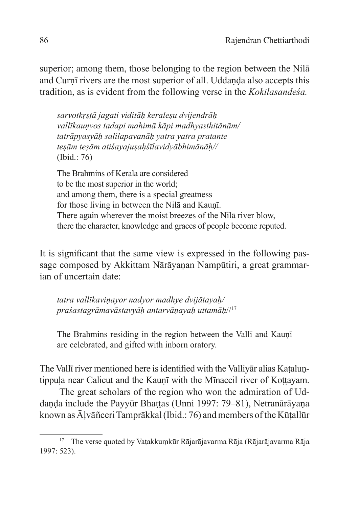superior; among them, those belonging to the region between the Nilā and Curnī rivers are the most superior of all. Uddanda also accepts this tradition, as is evident from the following verse in the *Kokilasandeśa.*

*sarvotkṛṣṭā jagati viditāḥ keraleṣu dvijendrāḥ vallīkauṇyos tadapi mahimā kāpi madhyasthitānām/ tatrāpyasyāḥ salilapavanāḥ yatra yatra pratante teṣām teṣām atiśayajuṣaḥśīlavidyābhimānāḥ//* (Ibid.: 76)

The Brahmins of Kerala are considered to be the most superior in the world; and among them, there is a special greatness for those living in between the Nilā and Kauṇī. There again wherever the moist breezes of the Nilā river blow, there the character, knowledge and graces of people become reputed.

It is significant that the same view is expressed in the following passage composed by Akkittam Nārāyanan Nampūtiri, a great grammarian of uncertain date:

*tatra vallīkaviṇayor nadyor madhye dvijātayaḥ/ praśastagrāmavāstavyāḥ antarvāṇayaḥ uttamāḥ*//<sup>17</sup>

The Brahmins residing in the region between the Vallī and Kauṇī are celebrated, and gifted with inborn oratory.

The Vallī river mentioned here is identified with the Valliyar alias Kataluntippula near Calicut and the Kaunī with the Mīnaccil river of Kottayam.

The great scholars of the region who won the admiration of Uddanda include the Payyūr Bhattas (Unni 1997: 79–81), Netranārāyana known as Āḷvāñceri Tamprākkal (Ibid.: 76) and members of the Kūṭallūr

<sup>&</sup>lt;sup>17</sup> The verse quoted by Vatakkumkūr Rājarājavarma Rāja (Rājarājavarma Rāja 1997: 523).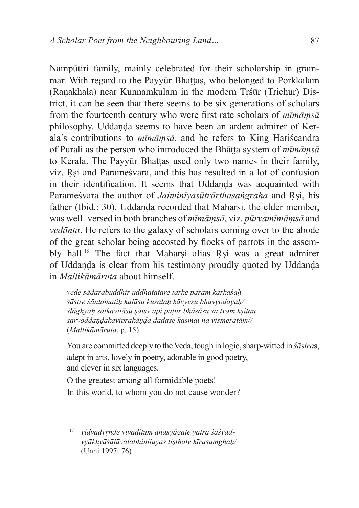Nampūtiri family, mainly celebrated for their scholarship in grammar. With regard to the Payyūr Bhattas, who belonged to Porkkalam (Raṇakhala) near Kunnamkulam in the modern Tṛśūr (Trichur) District, it can be seen that there seems to be six generations of scholars from the fourteenth century who were first rate scholars of *mīmāṃsā* philosophy. Uddaṇḍa seems to have been an ardent admirer of Kerala's contributions to *mīmāṃsā*, and he refers to King Hariścandra of Purali as the person who introduced the Bhāṭṭa system of *mīmāṃsā* to Kerala. The Payyūr Bhattas used only two names in their family, viz. Ṛṣi and Parameśvara, and this has resulted in a lot of confusion in their identification. It seems that Uddanda was acquainted with Parameśvara the author of *Jaiminīyasūtrārthasaṅgraha* and Ṛṣi, his father (Ibid.: 30). Uddanda recorded that Maharsi, the elder member, was well–versed in both branches of *mīmāṃsā*, viz. *pūrvamīmāṃsā* and *vedānta*. He refers to the galaxy of scholars coming over to the abode of the great scholar being accosted by flocks of parrots in the assembly hall.<sup>18</sup> The fact that Maharsi alias Rsi was a great admirer of Uddaṇḍa is clear from his testimony proudly quoted by Uddaṇḍa in *Mallikāmāruta* about himself.

*vede sādarabuddhir uddhatatare tarke param karkaśaḥ śāstre śāntamatiḥ kalāsu kuśalaḥ kāvyeṣu bhavyodayaḥ/ ślāghyaḥ satkavitāsu ṣatsv api paṭur bhāṣāsu sa tvam kṣitau sarvoddaṇḍakaviprakāṇḍa dadase kasmai na vismeratām//* (*Mallikāmāruta*, p. 15)

You are committed deeply to the Veda, tough in logic, sharp-witted in *śāstras*, adept in arts, lovely in poetry, adorable in good poetry, and clever in six languages.

O the greatest among all formidable poets! In this world, to whom you do not cause wonder?

<sup>18</sup> *vidvadvṛnde vivaditum anasyāgate yatra śaśvadvyākhyāśālāvalabhinilayas tiṣṭhate kīrasaṃghaḥ/* (Unni 1997: 76)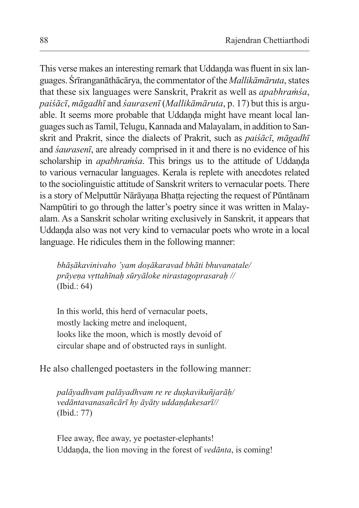This verse makes an interesting remark that Uddaṇḍa was fluent in six languages. Śrīranganāthācārya, the commentator of the *Mallikāmāruta*, states that these six languages were Sanskrit, Prakrit as well as *apabhraṁśa*, *paiśācī*, *māgadhī* and *śaurasenī* (*Mallikāmāruta*, p. 17) but this is arguable. It seems more probable that Uddanda might have meant local languages such asTamil, Telugu, Kannada and Malayalam, in addition to Sanskrit and Prakrit, since the dialects of Prakrit, such as *paiśācī*, *māgadhī* and *śaurasenī*, are already comprised in it and there is no evidence of his scholarship in *apabhramśa*. This brings us to the attitude of Uddanda to various vernacular languages. Kerala is replete with anecdotes related to the sociolinguistic attitude of Sanskrit writers to vernacular poets. There is a story of Melputtūr Nārāyana Bhatta rejecting the request of Pūntānam Nampūtiri to go through the latter's poetry since it was written in Malayalam. As a Sanskrit scholar writing exclusively in Sanskrit, it appears that Uddaṇḍa also was not very kind to vernacular poets who wrote in a local language. He ridicules them in the following manner:

*bhāṣākavinivaho 'yam doṣākaravad bhāti bhuvanatale/ prāyeṇa vṛttahīnaḥ sūryāloke nirastagoprasaraḥ //* (Ibid.: 64)

In this world, this herd of vernacular poets, mostly lacking metre and ineloquent, looks like the moon, which is mostly devoid of circular shape and of obstructed rays in sunlight.

He also challenged poetasters in the following manner:

*palāyadhvam palāyadhvam re re duṣkavikuñjarāḥ/ vedāntavanasañcārī hy āyāty uddaṇḍakesarī//*  (Ibid.: 77)

Flee away, flee away, ye poetaster-elephants! Uddaṇḍa, the lion moving in the forest of *vedānta*, is coming!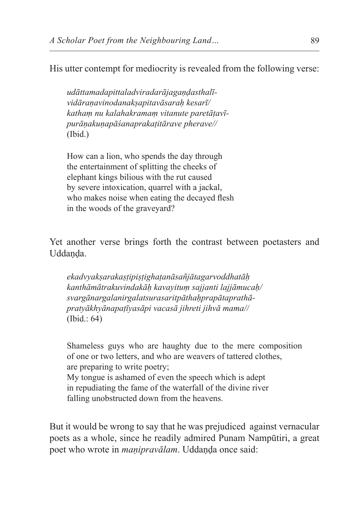His utter contempt for mediocrity is revealed from the following verse:

*udāttamadapittaladviradarājagaṇḍasthalīvidāraṇavinodanakṣapitavāsaraḥ kesarī/ kathaṃ nu kalahakramaṃ vitanute paretāṭavīpurāṇakuṇapāśanaprakaṭitārave pherave//* (Ibid.)

How can a lion, who spends the day through the entertainment of splitting the cheeks of elephant kings bilious with the rut caused by severe intoxication, quarrel with a jackal, who makes noise when eating the decayed flesh in the woods of the graveyard?

Yet another verse brings forth the contrast between poetasters and Uddanda.

*ekadvyakṣarakaṣṭipiṣṭighaṭanāsañjātagarvoddhatāḥ kanthāmātrakuvindakāḥ kavayituṃ sajjanti lajjāmucaḥ/ svargānargalanirgalatsurasaritpāthaḥprapātaprathāpratyākhyānapaṭīyasāpi vacasā jihreti jihvā mama//* (Ibid.: 64)

Shameless guys who are haughty due to the mere composition of one or two letters, and who are weavers of tattered clothes, are preparing to write poetry; My tongue is ashamed of even the speech which is adept in repudiating the fame of the waterfall of the divine river falling unobstructed down from the heavens.

But it would be wrong to say that he was prejudiced against vernacular poets as a whole, since he readily admired Punam Nampūtiri, a great poet who wrote in *maṇipravālam*. Uddaṇḍa once said: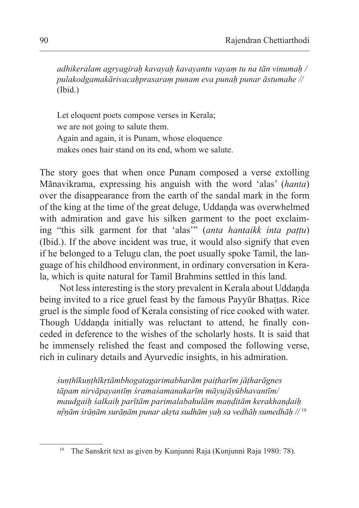*adhikeralam agryagiraḥ kavayaḥ kavayantu vayaṃ tu na tān vinumaḥ / pulakodgamakārivacaḥprasaraṃ punam eva punaḥ punar āstumahe //* (Ibid.)

Let eloquent poets compose verses in Kerala; we are not going to salute them. Again and again, it is Punam, whose eloquence makes ones hair stand on its end, whom we salute.

The story goes that when once Punam composed a verse extolling Mānavikrama, expressing his anguish with the word 'alas' (*hanta*) over the disappearance from the earth of the sandal mark in the form of the king at the time of the great deluge, Uddaṇḍa was overwhelmed with admiration and gave his silken garment to the poet exclaiming "this silk garment for that 'alas'" (*anta hantaikk inta paṭṭu*) (Ibid.). If the above incident was true, it would also signify that even if he belonged to a Telugu clan, the poet usually spoke Tamil, the language of his childhood environment, in ordinary conversation in Kerala, which is quite natural for Tamil Brahmins settled in this land.

Not less interesting is the story prevalent in Kerala about Uddanda being invited to a rice gruel feast by the famous Payyūr Bhattas. Rice gruel is the simple food of Kerala consisting of rice cooked with water. Though Uddanda initially was reluctant to attend, he finally conceded in deference to the wishes of the scholarly hosts. It is said that he immensely relished the feast and composed the following verse, rich in culinary details and Ayurvedic insights, in his admiration.

*śuṇṭhīkuṇṭhīkṛtāmbhogatagarimabharām paiṭharīm jāṭharāgnes tāpam nirvāpayantīṃ śramaśamanakarīm māyujāyūbhavantīm/ maudgaiḥ śalkaiḥ parītām parimalabahulām maṇḍitām kerakhaṇḍaiḥ nṝṇām śrāṇām surāṇām punar akṛta sudhām yaḥ sa vedhāḥ sumedhāḥ //* <sup>19</sup>

<sup>19</sup> The Sanskrit text as given by Kunjunni Raja (Kunjunni Raja 1980: 78).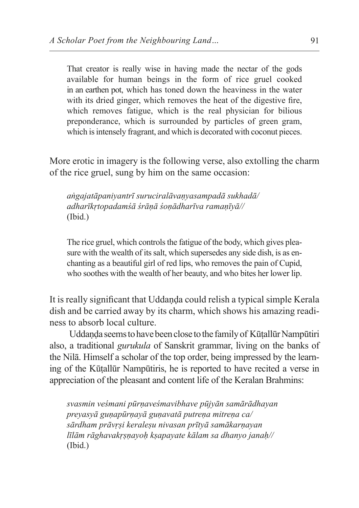That creator is really wise in having made the nectar of the gods available for human beings in the form of rice gruel cooked in an earthen pot, which has toned down the heaviness in the water with its dried ginger, which removes the heat of the digestive fire, which removes fatigue, which is the real physician for bilious preponderance, which is surrounded by particles of green gram, which is intensely fragrant, and which is decorated with coconut pieces.

More erotic in imagery is the following verse, also extolling the charm of the rice gruel, sung by him on the same occasion:

*aṅgajatāpaniyantrī suruciralāvaṇyasampadā sukhadā/ adharīkṛtopadamśā śrāṇā śoṇādharīva ramaṇīyā//* (Ibid.)

The rice gruel, which controls the fatigue of the body, which gives pleasure with the wealth of its salt, which supersedes any side dish, is as enchanting as a beautiful girl of red lips, who removes the pain of Cupid, who soothes with the wealth of her beauty, and who bites her lower lip.

It is really significant that Uddanda could relish a typical simple Kerala dish and be carried away by its charm, which shows his amazing readiness to absorb local culture.

Uddaṇḍa seems tohave been close tothe family of Kūṭallūr Nampūtiri also, a traditional *gurukula* of Sanskrit grammar, living on the banks of the Nilā. Himself a scholar of the top order, being impressed by the learning of the Kūṭallūr Nampūtiris, he is reported to have recited a verse in appreciation of the pleasant and content life of the Keralan Brahmins:

*svasmin veśmani pūrṇaveśmavibhave pūjyān samārādhayan preyasyā guṇapūrṇayā guṇavatā putreṇa mitreṇa ca/ sārdham prāvṛṣi keraleṣu nivasan prītyā samākarṇayan līlām rāghavakṛṣṇayoḥ kṣapayate kālam sa dhanyo janaḥ//* (Ibid.)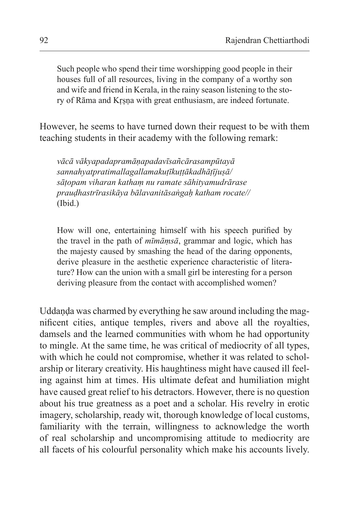Such people who spend their time worshipping good people in their houses full of all resources, living in the company of a worthy son and wife and friend in Kerala, in the rainy season listening to the story of Rāma and Kṛṣṇa with great enthusiasm, are indeed fortunate.

However, he seems to have turned down their request to be with them teaching students in their academy with the following remark:

*vācā vākyapadapramāṇapadavīsañcārasampūtayā sannahyatpratimallagallamakuṭīkuṭṭākadhāṭījuṣā/ sāṭopam viharan kathaṃ nu ramate sāhityamudrārase prauḍhastrīrasikāya bālavanitāsaṅgaḥ katham rocate//* (Ibid.)

How will one, entertaining himself with his speech purified by the travel in the path of *mīmāṃsā*, grammar and logic, which has the majesty caused by smashing the head of the daring opponents, derive pleasure in the aesthetic experience characteristic of literature? How can the union with a small girl be interesting for a person deriving pleasure from the contact with accomplished women?

Uddanda was charmed by everything he saw around including the magnificent cities, antique temples, rivers and above all the royalties, damsels and the learned communities with whom he had opportunity to mingle. At the same time, he was critical of mediocrity of all types, with which he could not compromise, whether it was related to scholarship or literary creativity. His haughtiness might have caused ill feeling against him at times. His ultimate defeat and humiliation might have caused great relief to his detractors. However, there is no question about his true greatness as a poet and a scholar. His revelry in erotic imagery, scholarship, ready wit, thorough knowledge of local customs, familiarity with the terrain, willingness to acknowledge the worth of real scholarship and uncompromising attitude to mediocrity are all facets of his colourful personality which make his accounts lively.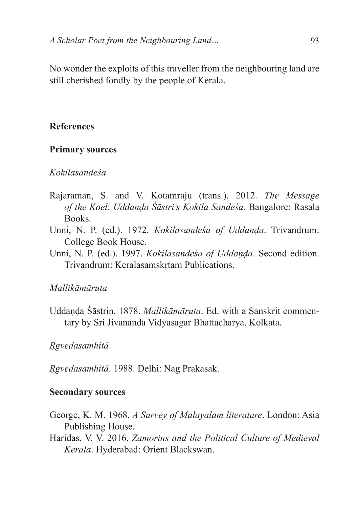No wonder the exploits of this traveller from the neighbouring land are still cherished fondly by the people of Kerala.

## **References**

### **Primary sources**

## *Kokilasandeśa*

- Rajaraman, S. and V. Kotamraju (trans.). 2012. *The Message of the Koel*: *Uddaṇḍa Śāstri's Kokila Sandeśa*. Bangalore: Rasala Books.
- Unni, N. P. (ed.). 1972. *Kokilasandeśa of Uddaṇḍa*. Trivandrum: College Book House.
- Unni, N. P. (ed.). 1997. *Kokilasandeśa of Uddaṇḍa*. Second edition. Trivandrum: Keralasamskṛtam Publications.

## *Mallikāmāruta*

Uddaṇḍa Śāstrin. 1878. *Mallikāmāruta*. Ed. with a Sanskrit commentary by Sri Jivananda Vidyasagar Bhattacharya. Kolkata.

*Ṛgvedasamhitā*

*Ṛgvedasamhitā*. 1988. Delhi: Nag Prakasak.

## **Secondary sources**

- George, K. M. 1968. *A Survey of Malayalam literature*. London: Asia Publishing House.
- Haridas, V. V. 2016. *Zamorins and the Political Culture of Medieval Kerala*. Hyderabad: Orient Blackswan.